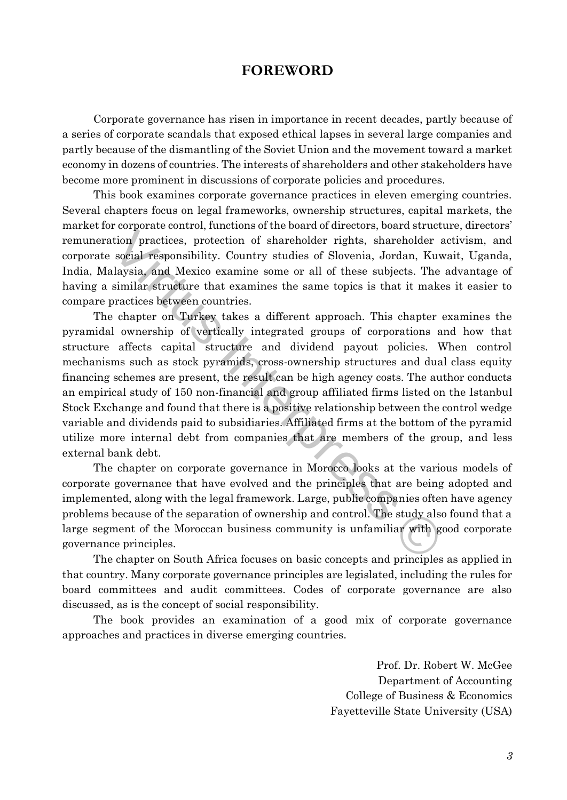## **FOREWORD**

Corporate governance has risen in importance in recent decades, partly because of a series of corporate scandals that exposed ethical lapses in several large companies and partly because of the dismantling of the Soviet Union and the movement toward a market economy in dozens of countries. The interests of shareholders and other stakeholders have become more prominent in discussions of corporate policies and procedures.

This book examines corporate governance practices in eleven emerging countries. Several chapters focus on legal frameworks, ownership structures, capital markets, the market for corporate control, functions of the board of directors, board structure, directors' remuneration practices, protection of shareholder rights, shareholder activism, and corporate social responsibility. Country studies of Slovenia, Jordan, Kuwait, Uganda, India, Malaysia, and Mexico examine some or all of these subjects. The advantage of having a similar structure that examines the same topics is that it makes it easier to compare practices between countries.

Consideration, variations of the bottom practices, protection of shareholder rights, shareholder and social responsibility. Country studies of Slovenia, Jordan, Kuw, alaysia, and Mexico examine some or all of these subject The chapter on Turkey takes a different approach. This chapter examines the pyramidal ownership of vertically integrated groups of corporations and how that structure affects capital structure and dividend payout policies. When control mechanisms such as stock pyramids, cross-ownership structures and dual class equity financing schemes are present, the result can be high agency costs. The author conducts an empirical study of 150 non-financial and group affiliated firms listed on the Istanbul Stock Exchange and found that there is a positive relationship between the control wedge variable and dividends paid to subsidiaries. Affiliated firms at the bottom of the pyramid utilize more internal debt from companies that are members of the group, and less external bank debt.

The chapter on corporate governance in Morocco looks at the various models of corporate governance that have evolved and the principles that are being adopted and implemented, along with the legal framework. Large, public companies often have agency problems because of the separation of ownership and control. The study also found that a large segment of the Moroccan business community is unfamiliar with good corporate governance principles.

The chapter on South Africa focuses on basic concepts and principles as applied in that country. Many corporate governance principles are legislated, including the rules for board committees and audit committees. Codes of corporate governance are also discussed, as is the concept of social responsibility.

The book provides an examination of a good mix of corporate governance approaches and practices in diverse emerging countries.

> Prof. Dr. Robert W. McGee Department of Accounting College of Business & Economics Fayetteville State University (USA)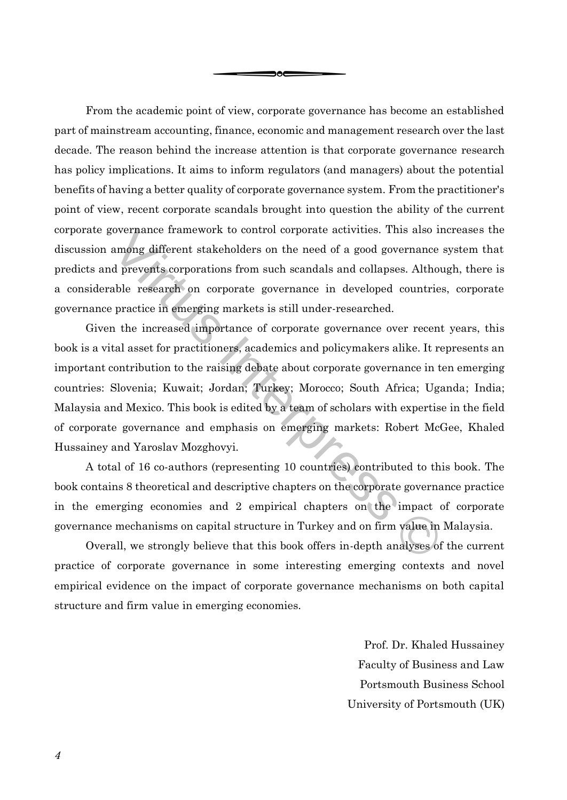From the academic point of view, corporate governance has become an established part of mainstream accounting, finance, economic and management research over the last decade. The reason behind the increase attention is that corporate governance research has policy implications. It aims to inform regulators (and managers) about the potential benefits of having a better quality of corporate governance system. From the practitioner's point of view, recent corporate scandals brought into question the ability of the current corporate governance framework to control corporate activities. This also increases the discussion among different stakeholders on the need of a good governance system that predicts and prevents corporations from such scandals and collapses. Although, there is a considerable research on corporate governance in developed countries, corporate governance practice in emerging markets is still under-researched.

эoс

overnance framework to control corporate activities. This also ine<br>among different stakeholders on the need of a good governance s<br>d prevents corporations from such scandals and collapses. Althou<sub>i</sub><br>able research on corpor Given the increased importance of corporate governance over recent years, this book is a vital asset for practitioners, academics and policymakers alike. It represents an important contribution to the raising debate about corporate governance in ten emerging countries: Slovenia; Kuwait; Jordan; Turkey; Morocco; South Africa; Uganda; India; Malaysia and Mexico. This book is edited by a team of scholars with expertise in the field of corporate governance and emphasis on emerging markets: Robert McGee, Khaled Hussainey and Yaroslav Mozghovyi.

A total of 16 co-authors (representing 10 countries) contributed to this book. The book contains 8 theoretical and descriptive chapters on the corporate governance practice in the emerging economies and 2 empirical chapters on the impact of corporate governance mechanisms on capital structure in Turkey and on firm value in Malaysia.

Overall, we strongly believe that this book offers in-depth analyses of the current practice of corporate governance in some interesting emerging contexts and novel empirical evidence on the impact of corporate governance mechanisms on both capital structure and firm value in emerging economies.

> Prof. Dr. Khaled Hussainey Faculty of Business and Law Portsmouth Business School University of Portsmouth (UK)

*4*